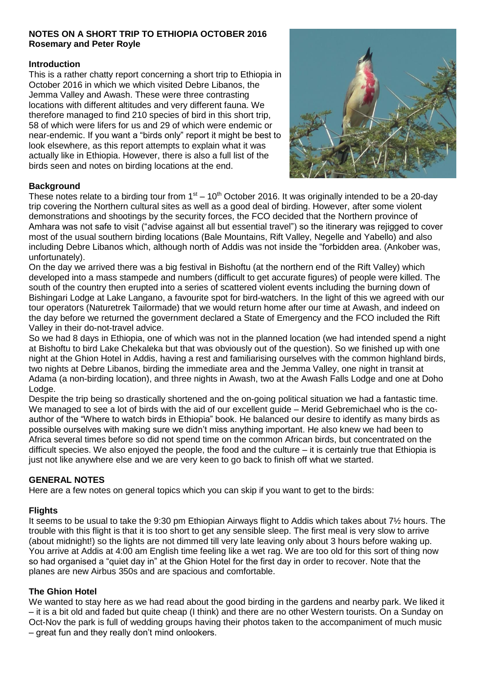# **NOTES ON A SHORT TRIP TO ETHIOPIA OCTOBER 2016 Rosemary and Peter Royle**

## **Introduction**

This is a rather chatty report concerning a short trip to Ethiopia in October 2016 in which we which visited Debre Libanos, the Jemma Valley and Awash. These were three contrasting locations with different altitudes and very different fauna. We therefore managed to find 210 species of bird in this short trip, 58 of which were lifers for us and 29 of which were endemic or near-endemic. If you want a "birds only" report it might be best to look elsewhere, as this report attempts to explain what it was actually like in Ethiopia. However, there is also a full list of the birds seen and notes on birding locations at the end.



# **Background**

These notes relate to a birding tour from  $1<sup>st</sup> - 10<sup>th</sup>$  October 2016. It was originally intended to be a 20-day trip covering the Northern cultural sites as well as a good deal of birding. However, after some violent demonstrations and shootings by the security forces, the FCO decided that the Northern province of Amhara was not safe to visit ("advise against all but essential travel") so the itinerary was rejigged to cover most of the usual southern birding locations (Bale Mountains, Rift Valley, Negelle and Yabello) and also including Debre Libanos which, although north of Addis was not inside the "forbidden area. (Ankober was, unfortunately).

On the day we arrived there was a big festival in Bishoftu (at the northern end of the Rift Valley) which developed into a mass stampede and numbers (difficult to get accurate figures) of people were killed. The south of the country then erupted into a series of scattered violent events including the burning down of Bishingari Lodge at Lake Langano, a favourite spot for bird-watchers. In the light of this we agreed with our tour operators (Naturetrek Tailormade) that we would return home after our time at Awash, and indeed on the day before we returned the government declared a State of Emergency and the FCO included the Rift Valley in their do-not-travel advice.

So we had 8 days in Ethiopia, one of which was not in the planned location (we had intended spend a night at Bishoftu to bird Lake Chekaleka but that was obviously out of the question). So we finished up with one night at the Ghion Hotel in Addis, having a rest and familiarising ourselves with the common highland birds, two nights at Debre Libanos, birding the immediate area and the Jemma Valley, one night in transit at Adama (a non-birding location), and three nights in Awash, two at the Awash Falls Lodge and one at Doho Lodge.

Despite the trip being so drastically shortened and the on-going political situation we had a fantastic time. We managed to see a lot of birds with the aid of our excellent guide – Merid Gebremichael who is the coauthor of the "Where to watch birds in Ethiopia" book. He balanced our desire to identify as many birds as possible ourselves with making sure we didn't miss anything important. He also knew we had been to Africa several times before so did not spend time on the common African birds, but concentrated on the difficult species. We also enjoyed the people, the food and the culture – it is certainly true that Ethiopia is just not like anywhere else and we are very keen to go back to finish off what we started.

# **GENERAL NOTES**

Here are a few notes on general topics which you can skip if you want to get to the birds:

# **Flights**

It seems to be usual to take the 9:30 pm Ethiopian Airways flight to Addis which takes about 7½ hours. The trouble with this flight is that it is too short to get any sensible sleep. The first meal is very slow to arrive (about midnight!) so the lights are not dimmed till very late leaving only about 3 hours before waking up. You arrive at Addis at 4:00 am English time feeling like a wet rag. We are too old for this sort of thing now so had organised a "quiet day in" at the Ghion Hotel for the first day in order to recover. Note that the planes are new Airbus 350s and are spacious and comfortable.

# **The Ghion Hotel**

We wanted to stay here as we had read about the good birding in the gardens and nearby park. We liked it – it is a bit old and faded but quite cheap (I think) and there are no other Western tourists. On a Sunday on Oct-Nov the park is full of wedding groups having their photos taken to the accompaniment of much music – great fun and they really don't mind onlookers.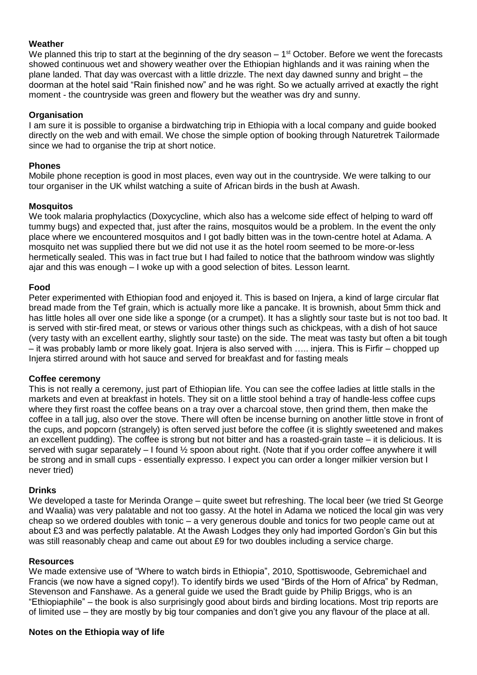## **Weather**

We planned this trip to start at the beginning of the dry season  $-1<sup>st</sup>$  October. Before we went the forecasts showed continuous wet and showery weather over the Ethiopian highlands and it was raining when the plane landed. That day was overcast with a little drizzle. The next day dawned sunny and bright – the doorman at the hotel said "Rain finished now" and he was right. So we actually arrived at exactly the right moment - the countryside was green and flowery but the weather was dry and sunny.

#### **Organisation**

I am sure it is possible to organise a birdwatching trip in Ethiopia with a local company and guide booked directly on the web and with email. We chose the simple option of booking through Naturetrek Tailormade since we had to organise the trip at short notice.

#### **Phones**

Mobile phone reception is good in most places, even way out in the countryside. We were talking to our tour organiser in the UK whilst watching a suite of African birds in the bush at Awash.

#### **Mosquitos**

We took malaria prophylactics (Doxycycline, which also has a welcome side effect of helping to ward off tummy bugs) and expected that, just after the rains, mosquitos would be a problem. In the event the only place where we encountered mosquitos and I got badly bitten was in the town-centre hotel at Adama. A mosquito net was supplied there but we did not use it as the hotel room seemed to be more-or-less hermetically sealed. This was in fact true but I had failed to notice that the bathroom window was slightly ajar and this was enough – I woke up with a good selection of bites. Lesson learnt.

#### **Food**

Peter experimented with Ethiopian food and enjoyed it. This is based on Injera, a kind of large circular flat bread made from the Tef grain, which is actually more like a pancake. It is brownish, about 5mm thick and has little holes all over one side like a sponge (or a crumpet). It has a slightly sour taste but is not too bad. It is served with stir-fired meat, or stews or various other things such as chickpeas, with a dish of hot sauce (very tasty with an excellent earthy, slightly sour taste) on the side. The meat was tasty but often a bit tough – it was probably lamb or more likely goat. Injera is also served with ….. injera. This is Firfir – chopped up Injera stirred around with hot sauce and served for breakfast and for fasting meals

## **Coffee ceremony**

This is not really a ceremony, just part of Ethiopian life. You can see the coffee ladies at little stalls in the markets and even at breakfast in hotels. They sit on a little stool behind a tray of handle-less coffee cups where they first roast the coffee beans on a tray over a charcoal stove, then grind them, then make the coffee in a tall jug, also over the stove. There will often be incense burning on another little stove in front of the cups, and popcorn (strangely) is often served just before the coffee (it is slightly sweetened and makes an excellent pudding). The coffee is strong but not bitter and has a roasted-grain taste – it is delicious. It is served with sugar separately – I found ½ spoon about right. (Note that if you order coffee anywhere it will be strong and in small cups - essentially expresso. I expect you can order a longer milkier version but I never tried)

#### **Drinks**

We developed a taste for Merinda Orange – quite sweet but refreshing. The local beer (we tried St George and Waalia) was very palatable and not too gassy. At the hotel in Adama we noticed the local gin was very cheap so we ordered doubles with tonic – a very generous double and tonics for two people came out at about £3 and was perfectly palatable. At the Awash Lodges they only had imported Gordon's Gin but this was still reasonably cheap and came out about £9 for two doubles including a service charge.

#### **Resources**

We made extensive use of "Where to watch birds in Ethiopia", 2010, Spottiswoode, Gebremichael and Francis (we now have a signed copy!). To identify birds we used "Birds of the Horn of Africa" by Redman, Stevenson and Fanshawe. As a general guide we used the Bradt guide by Philip Briggs, who is an "Ethiopiaphile" – the book is also surprisingly good about birds and birding locations. Most trip reports are of limited use – they are mostly by big tour companies and don't give you any flavour of the place at all.

## **Notes on the Ethiopia way of life**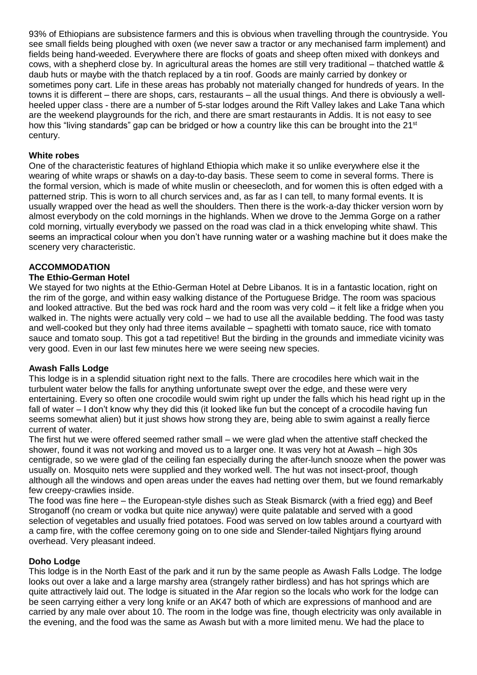93% of Ethiopians are subsistence farmers and this is obvious when travelling through the countryside. You see small fields being ploughed with oxen (we never saw a tractor or any mechanised farm implement) and fields being hand-weeded. Everywhere there are flocks of goats and sheep often mixed with donkeys and cows, with a shepherd close by. In agricultural areas the homes are still very traditional – thatched wattle & daub huts or maybe with the thatch replaced by a tin roof. Goods are mainly carried by donkey or sometimes pony cart. Life in these areas has probably not materially changed for hundreds of years. In the towns it is different – there are shops, cars, restaurants – all the usual things. And there is obviously a wellheeled upper class - there are a number of 5-star lodges around the Rift Valley lakes and Lake Tana which are the weekend playgrounds for the rich, and there are smart restaurants in Addis. It is not easy to see how this "living standards" gap can be bridged or how a country like this can be brought into the 21<sup>st</sup> century.

# **White robes**

One of the characteristic features of highland Ethiopia which make it so unlike everywhere else it the wearing of white wraps or shawls on a day-to-day basis. These seem to come in several forms. There is the formal version, which is made of white muslin or cheesecloth, and for women this is often edged with a patterned strip. This is worn to all church services and, as far as I can tell, to many formal events. It is usually wrapped over the head as well the shoulders. Then there is the work-a-day thicker version worn by almost everybody on the cold mornings in the highlands. When we drove to the Jemma Gorge on a rather cold morning, virtually everybody we passed on the road was clad in a thick enveloping white shawl. This seems an impractical colour when you don't have running water or a washing machine but it does make the scenery very characteristic.

# **ACCOMMODATION**

# **The Ethio-German Hotel**

We stayed for two nights at the Ethio-German Hotel at Debre Libanos. It is in a fantastic location, right on the rim of the gorge, and within easy walking distance of the Portuguese Bridge. The room was spacious and looked attractive. But the bed was rock hard and the room was very cold – it felt like a fridge when you walked in. The nights were actually very cold – we had to use all the available bedding. The food was tasty and well-cooked but they only had three items available – spaghetti with tomato sauce, rice with tomato sauce and tomato soup. This got a tad repetitive! But the birding in the grounds and immediate vicinity was very good. Even in our last few minutes here we were seeing new species.

## **Awash Falls Lodge**

This lodge is in a splendid situation right next to the falls. There are crocodiles here which wait in the turbulent water below the falls for anything unfortunate swept over the edge, and these were very entertaining. Every so often one crocodile would swim right up under the falls which his head right up in the fall of water – I don't know why they did this (it looked like fun but the concept of a crocodile having fun seems somewhat alien) but it just shows how strong they are, being able to swim against a really fierce current of water.

The first hut we were offered seemed rather small – we were glad when the attentive staff checked the shower, found it was not working and moved us to a larger one. It was very hot at Awash – high 30s centigrade, so we were glad of the ceiling fan especially during the after-lunch snooze when the power was usually on. Mosquito nets were supplied and they worked well. The hut was not insect-proof, though although all the windows and open areas under the eaves had netting over them, but we found remarkably few creepy-crawlies inside.

The food was fine here – the European-style dishes such as Steak Bismarck (with a fried egg) and Beef Stroganoff (no cream or vodka but quite nice anyway) were quite palatable and served with a good selection of vegetables and usually fried potatoes. Food was served on low tables around a courtyard with a camp fire, with the coffee ceremony going on to one side and Slender-tailed Nightjars flying around overhead. Very pleasant indeed.

## **Doho Lodge**

This lodge is in the North East of the park and it run by the same people as Awash Falls Lodge. The lodge looks out over a lake and a large marshy area (strangely rather birdless) and has hot springs which are quite attractively laid out. The lodge is situated in the Afar region so the locals who work for the lodge can be seen carrying either a very long knife or an AK47 both of which are expressions of manhood and are carried by any male over about 10. The room in the lodge was fine, though electricity was only available in the evening, and the food was the same as Awash but with a more limited menu. We had the place to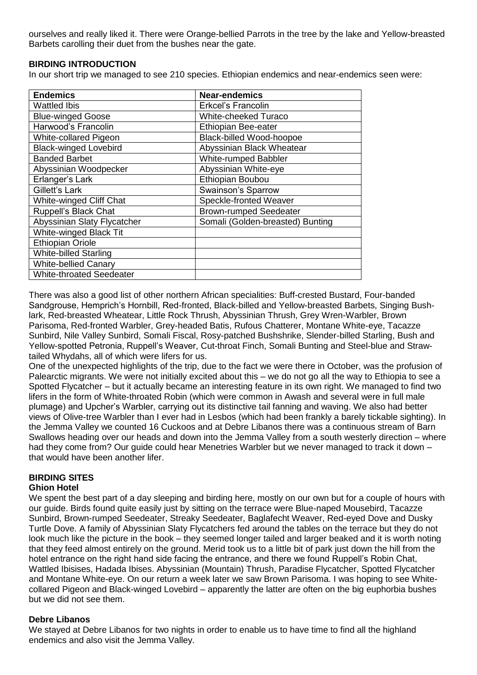ourselves and really liked it. There were Orange-bellied Parrots in the tree by the lake and Yellow-breasted Barbets carolling their duet from the bushes near the gate.

## **BIRDING INTRODUCTION**

In our short trip we managed to see 210 species. Ethiopian endemics and near-endemics seen were:

| <b>Endemics</b>                 | <b>Near-endemics</b>             |
|---------------------------------|----------------------------------|
| Wattled Ibis                    | Erkcel's Francolin               |
| <b>Blue-winged Goose</b>        | <b>White-cheeked Turaco</b>      |
| Harwood's Francolin             | Ethiopian Bee-eater              |
| White-collared Pigeon           | <b>Black-billed Wood-hoopoe</b>  |
| <b>Black-winged Lovebird</b>    | Abyssinian Black Wheatear        |
| <b>Banded Barbet</b>            | <b>White-rumped Babbler</b>      |
| Abyssinian Woodpecker           | Abyssinian White-eye             |
| Erlanger's Lark                 | Ethiopian Boubou                 |
| Gillett's Lark                  | Swainson's Sparrow               |
| <b>White-winged Cliff Chat</b>  | Speckle-fronted Weaver           |
| Ruppell's Black Chat            | <b>Brown-rumped Seedeater</b>    |
| Abyssinian Slaty Flycatcher     | Somali (Golden-breasted) Bunting |
| White-winged Black Tit          |                                  |
| <b>Ethiopian Oriole</b>         |                                  |
| <b>White-billed Starling</b>    |                                  |
| <b>White-bellied Canary</b>     |                                  |
| <b>White-throated Seedeater</b> |                                  |

There was also a good list of other northern African specialities: Buff-crested Bustard, Four-banded Sandgrouse, Hemprich's Hornbill, Red-fronted, Black-billed and Yellow-breasted Barbets, Singing Bushlark, Red-breasted Wheatear, Little Rock Thrush, Abyssinian Thrush, Grey Wren-Warbler, Brown Parisoma, Red-fronted Warbler, Grey-headed Batis, Rufous Chatterer, Montane White-eye, Tacazze Sunbird, Nile Valley Sunbird, Somali Fiscal, Rosy-patched Bushshrike, Slender-billed Starling, Bush and Yellow-spotted Petronia, Ruppell's Weaver, Cut-throat Finch, Somali Bunting and Steel-blue and Strawtailed Whydahs, all of which were lifers for us.

One of the unexpected highlights of the trip, due to the fact we were there in October, was the profusion of Palearctic migrants. We were not initially excited about this – we do not go all the way to Ethiopia to see a Spotted Flycatcher – but it actually became an interesting feature in its own right. We managed to find two lifers in the form of White-throated Robin (which were common in Awash and several were in full male plumage) and Upcher's Warbler, carrying out its distinctive tail fanning and waving. We also had better views of Olive-tree Warbler than I ever had in Lesbos (which had been frankly a barely tickable sighting). In the Jemma Valley we counted 16 Cuckoos and at Debre Libanos there was a continuous stream of Barn Swallows heading over our heads and down into the Jemma Valley from a south westerly direction – where had they come from? Our guide could hear Menetries Warbler but we never managed to track it down that would have been another lifer.

## **BIRDING SITES Ghion Hotel**

We spent the best part of a day sleeping and birding here, mostly on our own but for a couple of hours with our guide. Birds found quite easily just by sitting on the terrace were Blue-naped Mousebird, Tacazze Sunbird, Brown-rumped Seedeater, Streaky Seedeater, Baglafecht Weaver, Red-eyed Dove and Dusky Turtle Dove. A family of Abyssinian Slaty Flycatchers fed around the tables on the terrace but they do not look much like the picture in the book – they seemed longer tailed and larger beaked and it is worth noting that they feed almost entirely on the ground. Merid took us to a little bit of park just down the hill from the hotel entrance on the right hand side facing the entrance, and there we found Ruppell's Robin Chat, Wattled Ibisises, Hadada Ibises. Abyssinian (Mountain) Thrush, Paradise Flycatcher, Spotted Flycatcher and Montane White-eye. On our return a week later we saw Brown Parisoma. I was hoping to see Whitecollared Pigeon and Black-winged Lovebird – apparently the latter are often on the big euphorbia bushes but we did not see them.

## **Debre Libanos**

We stayed at Debre Libanos for two nights in order to enable us to have time to find all the highland endemics and also visit the Jemma Valley.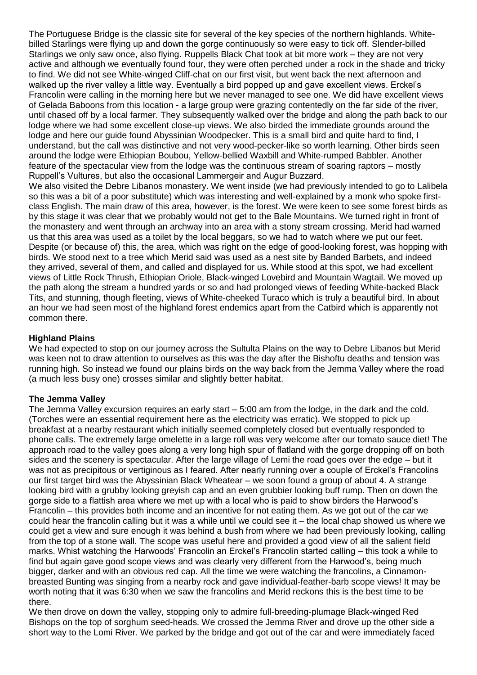The Portuguese Bridge is the classic site for several of the key species of the northern highlands. Whitebilled Starlings were flying up and down the gorge continuously so were easy to tick off. Slender-billed Starlings we only saw once, also flying. Ruppells Black Chat took at bit more work – they are not very active and although we eventually found four, they were often perched under a rock in the shade and tricky to find. We did not see White-winged Cliff-chat on our first visit, but went back the next afternoon and walked up the river valley a little way. Eventually a bird popped up and gave excellent views. Erckel's Francolin were calling in the morning here but we never managed to see one. We did have excellent views of Gelada Baboons from this location - a large group were grazing contentedly on the far side of the river, until chased off by a local farmer. They subsequently walked over the bridge and along the path back to our lodge where we had some excellent close-up views. We also birded the immediate grounds around the lodge and here our guide found Abyssinian Woodpecker. This is a small bird and quite hard to find, I understand, but the call was distinctive and not very wood-pecker-like so worth learning. Other birds seen around the lodge were Ethiopian Boubou, Yellow-bellied Waxbill and White-rumped Babbler. Another feature of the spectacular view from the lodge was the continuous stream of soaring raptors – mostly Ruppell's Vultures, but also the occasional Lammergeir and Augur Buzzard.

We also visited the Debre Libanos monastery. We went inside (we had previously intended to go to Lalibela so this was a bit of a poor substitute) which was interesting and well-explained by a monk who spoke firstclass English. The main draw of this area, however, is the forest. We were keen to see some forest birds as by this stage it was clear that we probably would not get to the Bale Mountains. We turned right in front of the monastery and went through an archway into an area with a stony stream crossing. Merid had warned us that this area was used as a toilet by the local beggars, so we had to watch where we put our feet. Despite (or because of) this, the area, which was right on the edge of good-looking forest, was hopping with birds. We stood next to a tree which Merid said was used as a nest site by Banded Barbets, and indeed they arrived, several of them, and called and displayed for us. While stood at this spot, we had excellent views of Little Rock Thrush, Ethiopian Oriole, Black-winged Lovebird and Mountain Wagtail. We moved up the path along the stream a hundred yards or so and had prolonged views of feeding White-backed Black Tits, and stunning, though fleeting, views of White-cheeked Turaco which is truly a beautiful bird. In about an hour we had seen most of the highland forest endemics apart from the Catbird which is apparently not common there.

# **Highland Plains**

We had expected to stop on our journey across the Sultulta Plains on the way to Debre Libanos but Merid was keen not to draw attention to ourselves as this was the day after the Bishoftu deaths and tension was running high. So instead we found our plains birds on the way back from the Jemma Valley where the road (a much less busy one) crosses similar and slightly better habitat.

## **The Jemma Valley**

The Jemma Valley excursion requires an early start – 5:00 am from the lodge, in the dark and the cold. (Torches were an essential requirement here as the electricity was erratic). We stopped to pick up breakfast at a nearby restaurant which initially seemed completely closed but eventually responded to phone calls. The extremely large omelette in a large roll was very welcome after our tomato sauce diet! The approach road to the valley goes along a very long high spur of flatland with the gorge dropping off on both sides and the scenery is spectacular. After the large village of Lemi the road goes over the edge – but it was not as precipitous or vertiginous as I feared. After nearly running over a couple of Erckel's Francolins our first target bird was the Abyssinian Black Wheatear – we soon found a group of about 4. A strange looking bird with a grubby looking greyish cap and an even grubbier looking buff rump. Then on down the gorge side to a flattish area where we met up with a local who is paid to show birders the Harwood's Francolin – this provides both income and an incentive for not eating them. As we got out of the car we could hear the francolin calling but it was a while until we could see it – the local chap showed us where we could get a view and sure enough it was behind a bush from where we had been previously looking, calling from the top of a stone wall. The scope was useful here and provided a good view of all the salient field marks. Whist watching the Harwoods' Francolin an Erckel's Francolin started calling – this took a while to find but again gave good scope views and was clearly very different from the Harwood's, being much bigger, darker and with an obvious red cap. All the time we were watching the francolins, a Cinnamonbreasted Bunting was singing from a nearby rock and gave individual-feather-barb scope views! It may be worth noting that it was 6:30 when we saw the francolins and Merid reckons this is the best time to be there.

We then drove on down the valley, stopping only to admire full-breeding-plumage Black-winged Red Bishops on the top of sorghum seed-heads. We crossed the Jemma River and drove up the other side a short way to the Lomi River. We parked by the bridge and got out of the car and were immediately faced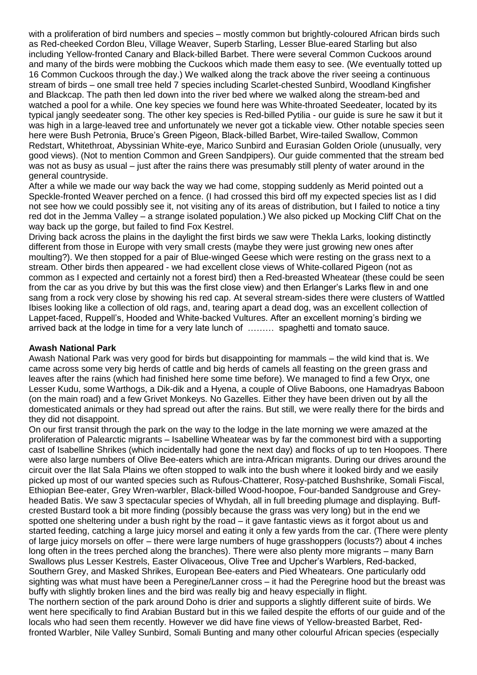with a proliferation of bird numbers and species – mostly common but brightly-coloured African birds such as Red-cheeked Cordon Bleu, Village Weaver, Superb Starling, Lesser Blue-eared Starling but also including Yellow-fronted Canary and Black-billed Barbet. There were several Common Cuckoos around and many of the birds were mobbing the Cuckoos which made them easy to see. (We eventually totted up 16 Common Cuckoos through the day.) We walked along the track above the river seeing a continuous stream of birds – one small tree held 7 species including Scarlet-chested Sunbird, Woodland Kingfisher and Blackcap. The path then led down into the river bed where we walked along the stream-bed and watched a pool for a while. One key species we found here was White-throated Seedeater, located by its typical jangly seedeater song. The other key species is Red-billed Pytilia - our guide is sure he saw it but it was high in a large-leaved tree and unfortunately we never got a tickable view. Other notable species seen here were Bush Petronia, Bruce's Green Pigeon, Black-billed Barbet, Wire-tailed Swallow, Common Redstart, Whitethroat, Abyssinian White-eye, Marico Sunbird and Eurasian Golden Oriole (unusually, very good views). (Not to mention Common and Green Sandpipers). Our guide commented that the stream bed was not as busy as usual – just after the rains there was presumably still plenty of water around in the general countryside.

After a while we made our way back the way we had come, stopping suddenly as Merid pointed out a Speckle-fronted Weaver perched on a fence. (I had crossed this bird off my expected species list as I did not see how we could possibly see it, not visiting any of its areas of distribution, but I failed to notice a tiny red dot in the Jemma Valley – a strange isolated population.) We also picked up Mocking Cliff Chat on the way back up the gorge, but failed to find Fox Kestrel.

Driving back across the plains in the daylight the first birds we saw were Thekla Larks, looking distinctly different from those in Europe with very small crests (maybe they were just growing new ones after moulting?). We then stopped for a pair of Blue-winged Geese which were resting on the grass next to a stream. Other birds then appeared - we had excellent close views of White-collared Pigeon (not as common as I expected and certainly not a forest bird) then a Red-breasted Wheatear (these could be seen from the car as you drive by but this was the first close view) and then Erlanger's Larks flew in and one sang from a rock very close by showing his red cap. At several stream-sides there were clusters of Wattled Ibises looking like a collection of old rags, and, tearing apart a dead dog, was an excellent collection of Lappet-faced, Ruppell's, Hooded and White-backed Vultures. After an excellent morning's birding we arrived back at the lodge in time for a very late lunch of ……… spaghetti and tomato sauce.

## **Awash National Park**

Awash National Park was very good for birds but disappointing for mammals – the wild kind that is. We came across some very big herds of cattle and big herds of camels all feasting on the green grass and leaves after the rains (which had finished here some time before). We managed to find a few Oryx, one Lesser Kudu, some Warthogs, a Dik-dik and a Hyena, a couple of Olive Baboons, one Hamadryas Baboon (on the main road) and a few Grivet Monkeys. No Gazelles. Either they have been driven out by all the domesticated animals or they had spread out after the rains. But still, we were really there for the birds and they did not disappoint.

On our first transit through the park on the way to the lodge in the late morning we were amazed at the proliferation of Palearctic migrants – Isabelline Wheatear was by far the commonest bird with a supporting cast of Isabelline Shrikes (which incidentally had gone the next day) and flocks of up to ten Hoopoes. There were also large numbers of Olive Bee-eaters which are intra-African migrants. During our drives around the circuit over the Ilat Sala Plains we often stopped to walk into the bush where it looked birdy and we easily picked up most of our wanted species such as Rufous-Chatterer, Rosy-patched Bushshrike, Somali Fiscal, Ethiopian Bee-eater, Grey Wren-warbler, Black-billed Wood-hoopoe, Four-banded Sandgrouse and Greyheaded Batis. We saw 3 spectacular species of Whydah, all in full breeding plumage and displaying. Buffcrested Bustard took a bit more finding (possibly because the grass was very long) but in the end we spotted one sheltering under a bush right by the road – it gave fantastic views as it forgot about us and started feeding, catching a large juicy morsel and eating it only a few yards from the car. (There were plenty of large juicy morsels on offer – there were large numbers of huge grasshoppers (locusts?) about 4 inches long often in the trees perched along the branches). There were also plenty more migrants – many Barn Swallows plus Lesser Kestrels, Easter Olivaceous, Olive Tree and Upcher's Warblers, Red-backed, Southern Grey, and Masked Shrikes, European Bee-eaters and Pied Wheatears. One particularly odd sighting was what must have been a Peregine/Lanner cross – it had the Peregrine hood but the breast was buffy with slightly broken lines and the bird was really big and heavy especially in flight. The northern section of the park around Doho is drier and supports a slightly different suite of birds. We

went here specifically to find Arabian Bustard but in this we failed despite the efforts of our guide and of the locals who had seen them recently. However we did have fine views of Yellow-breasted Barbet, Redfronted Warbler, Nile Valley Sunbird, Somali Bunting and many other colourful African species (especially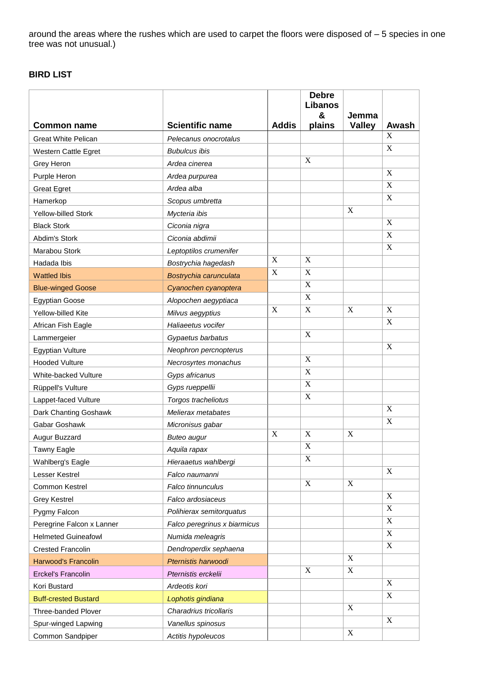around the areas where the rushes which are used to carpet the floors were disposed of – 5 species in one tree was not unusual.)

# **BIRD LIST**

|                             |                              |                           | <b>Debre</b><br>Libanos<br>& | Jemma                     |                  |
|-----------------------------|------------------------------|---------------------------|------------------------------|---------------------------|------------------|
| <b>Common name</b>          | <b>Scientific name</b>       | <b>Addis</b>              | plains                       | <b>Valley</b>             | Awash            |
| <b>Great White Pelican</b>  | Pelecanus onocrotalus        |                           |                              |                           | X                |
| Western Cattle Egret        | <b>Bubulcus ibis</b>         |                           |                              |                           | $\mathbf X$      |
| Grey Heron                  | Ardea cinerea                |                           | X                            |                           |                  |
| Purple Heron                | Ardea purpurea               |                           |                              |                           | $\mathbf X$      |
| <b>Great Egret</b>          | Ardea alba                   |                           |                              |                           | $\mathbf X$      |
| Hamerkop                    | Scopus umbretta              |                           |                              |                           | X                |
| Yellow-billed Stork         | Mycteria ibis                |                           |                              | $\boldsymbol{\mathrm{X}}$ |                  |
| <b>Black Stork</b>          | Ciconia nigra                |                           |                              |                           | X                |
| Abdim's Stork               | Ciconia abdimii              |                           |                              |                           | $\boldsymbol{X}$ |
| Marabou Stork               | Leptoptilos crumenifer       |                           |                              |                           | $\overline{X}$   |
| Hadada Ibis                 | Bostrychia hagedash          | X                         | X                            |                           |                  |
| <b>Wattled Ibis</b>         | Bostrychia carunculata       | $\mathbf X$               | $\mathbf X$                  |                           |                  |
| <b>Blue-winged Goose</b>    | Cyanochen cyanoptera         |                           | $\mathbf X$                  |                           |                  |
| <b>Egyptian Goose</b>       | Alopochen aegyptiaca         |                           | X                            |                           |                  |
| Yellow-billed Kite          | Milvus aegyptius             | $\boldsymbol{\mathrm{X}}$ | $\mathbf X$                  | X                         | $\mathbf X$      |
| African Fish Eagle          | Haliaeetus vocifer           |                           |                              |                           | X                |
| Lammergeier                 | Gypaetus barbatus            |                           | $\mathbf X$                  |                           |                  |
| <b>Egyptian Vulture</b>     | Neophron percnopterus        |                           |                              |                           | $\mathbf X$      |
| <b>Hooded Vulture</b>       | Necrosyrtes monachus         |                           | $\mathbf X$                  |                           |                  |
| White-backed Vulture        | Gyps africanus               |                           | $\mathbf X$                  |                           |                  |
| Rüppell's Vulture           | Gyps rueppellii              |                           | $\mathbf X$                  |                           |                  |
| Lappet-faced Vulture        | Torgos tracheliotus          |                           | $\mathbf X$                  |                           |                  |
| Dark Chanting Goshawk       | Melierax metabates           |                           |                              |                           | $\mathbf X$      |
| Gabar Goshawk               | Micronisus gabar             |                           |                              |                           | $\mathbf X$      |
| Augur Buzzard               | <b>Buteo augur</b>           | X                         | X                            | X                         |                  |
| Tawny Eagle                 | Aquila rapax                 |                           | $\boldsymbol{\mathrm{X}}$    |                           |                  |
| Wahlberg's Eagle            | Hieraaetus wahlbergi         |                           | X                            |                           |                  |
| Lesser Kestrel              | Falco naumanni               |                           |                              |                           | X                |
| Common Kestrel              | Falco tinnunculus            |                           | $\mathbf X$                  | $\mathbf X$               |                  |
| <b>Grey Kestrel</b>         | Falco ardosiaceus            |                           |                              |                           | X                |
| Pygmy Falcon                | Polihierax semitorquatus     |                           |                              |                           | $\mathbf X$      |
| Peregrine Falcon x Lanner   | Falco peregrinus x biarmicus |                           |                              |                           | $\mathbf X$      |
| <b>Helmeted Guineafowl</b>  | Numida meleagris             |                           |                              |                           | X                |
| <b>Crested Francolin</b>    | Dendroperdix sephaena        |                           |                              |                           | $\mathbf X$      |
| <b>Harwood's Francolin</b>  | Pternistis harwoodi          |                           |                              | $\mathbf X$               |                  |
| <b>Erckel's Francolin</b>   | Pternistis erckelii          |                           | $\mathbf X$                  | $\mathbf X$               |                  |
| Kori Bustard                | Ardeotis kori                |                           |                              |                           | $\mathbf X$      |
| <b>Buff-crested Bustard</b> | Lophotis gindiana            |                           |                              |                           | X                |
| Three-banded Plover         | Charadrius tricollaris       |                           |                              | $\mathbf X$               |                  |
| Spur-winged Lapwing         | Vanellus spinosus            |                           |                              |                           | X                |
| Common Sandpiper            | Actitis hypoleucos           |                           |                              | $\mathbf X$               |                  |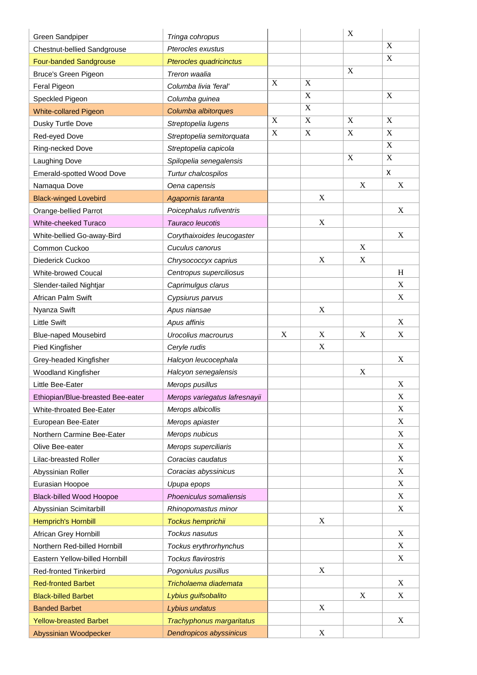| Green Sandpiper                   | Tringa cohropus               |             |             | X                         |             |
|-----------------------------------|-------------------------------|-------------|-------------|---------------------------|-------------|
| Chestnut-bellied Sandgrouse       | Pterocles exustus             |             |             |                           | $\mathbf X$ |
| <b>Four-banded Sandgrouse</b>     | Pterocles quadricinctus       |             |             |                           | $\mathbf X$ |
| <b>Bruce's Green Pigeon</b>       | Treron waalia                 |             |             | $\boldsymbol{\mathrm{X}}$ |             |
| Feral Pigeon                      | Columba livia 'feral'         | $\mathbf X$ | X           |                           |             |
| Speckled Pigeon                   | Columba guinea                |             | $\mathbf X$ |                           | $\mathbf X$ |
| <b>White-collared Pigeon</b>      | Columba albitorques           |             | $\mathbf X$ |                           |             |
| Dusky Turtle Dove                 | Streptopelia lugens           | $\mathbf X$ | $\mathbf X$ | $\mathbf X$               | $\mathbf X$ |
| Red-eyed Dove                     | Streptopelia semitorquata     | $\mathbf X$ | X           | X                         | $\mathbf X$ |
| Ring-necked Dove                  | Streptopelia capicola         |             |             |                           | $\mathbf X$ |
| Laughing Dove                     | Spilopelia senegalensis       |             |             | $\boldsymbol{\mathrm{X}}$ | $\mathbf X$ |
| Emerald-spotted Wood Dove         | Turtur chalcospilos           |             |             |                           | X           |
| Namaqua Dove                      | Oena capensis                 |             |             | X                         | X           |
| <b>Black-winged Lovebird</b>      | Agapornis taranta             |             | X           |                           |             |
| Orange-bellied Parrot             | Poicephalus rufiventris       |             |             |                           | X           |
| White-cheeked Turaco              | Tauraco leucotis              |             | $\mathbf X$ |                           |             |
| White-bellied Go-away-Bird        | Corythaixoides leucogaster    |             |             |                           | X           |
| Common Cuckoo                     | Cuculus canorus               |             |             | X                         |             |
| Diederick Cuckoo                  | Chrysococcyx caprius          |             | $\mathbf X$ | $\mathbf X$               |             |
| White-browed Coucal               | Centropus superciliosus       |             |             |                           | H           |
| Slender-tailed Nightjar           | Caprimulgus clarus            |             |             |                           | X           |
| African Palm Swift                | Cypsiurus parvus              |             |             |                           | X           |
| Nyanza Swift                      | Apus niansae                  |             | X           |                           |             |
| <b>Little Swift</b>               | Apus affinis                  |             |             |                           | $\mathbf X$ |
| <b>Blue-naped Mousebird</b>       | Urocolius macrourus           | X           | X           | X                         | X           |
| Pied Kingfisher                   | Ceryle rudis                  |             | $\mathbf X$ |                           |             |
| Grey-headed Kingfisher            | Halcyon leucocephala          |             |             |                           | X           |
| <b>Woodland Kingfisher</b>        | Halcyon senegalensis          |             |             | X                         |             |
| Little Bee-Eater                  | Merops pusillus               |             |             |                           | $\mathbf X$ |
| Ethiopian/Blue-breasted Bee-eater | Merops variegatus lafresnayii |             |             |                           | X           |
| White-throated Bee-Eater          | Merops albicollis             |             |             |                           | $\mathbf X$ |
| European Bee-Eater                | Merops apiaster               |             |             |                           | $\mathbf X$ |
| Northern Carmine Bee-Eater        | Merops nubicus                |             |             |                           | X           |
| Olive Bee-eater                   | Merops superciliaris          |             |             |                           | $\mathbf X$ |
| Lilac-breasted Roller             | Coracias caudatus             |             |             |                           | $\mathbf X$ |
| Abyssinian Roller                 | Coracias abyssinicus          |             |             |                           | $\mathbf X$ |
| Eurasian Hoopoe                   | Upupa epops                   |             |             |                           | X           |
| <b>Black-billed Wood Hoopoe</b>   | Phoeniculus somaliensis       |             |             |                           | $\mathbf X$ |
| Abyssinian Scimitarbill           | Rhinopomastus minor           |             |             |                           | $\mathbf X$ |
| <b>Hemprich's Hornbill</b>        | Tockus hemprichii             |             | X           |                           |             |
| African Grey Hornbill             | Tockus nasutus                |             |             |                           | $\mathbf X$ |
| Northern Red-billed Hornbill      | Tockus erythrorhynchus        |             |             |                           | X           |
| Eastern Yellow-billed Hornbill    | Tockus flavirostris           |             |             |                           | $\mathbf X$ |
| Red-fronted Tinkerbird            | Pogoniulus pusillus           |             | X           |                           |             |
| <b>Red-fronted Barbet</b>         | Tricholaema diademata         |             |             |                           | X           |
| <b>Black-billed Barbet</b>        | Lybius guifsobalito           |             |             | X                         | X           |
| <b>Banded Barbet</b>              | Lybius undatus                |             | X           |                           |             |
| <b>Yellow-breasted Barbet</b>     | Trachyphonus margaritatus     |             |             |                           | $\mathbf X$ |
| Abyssinian Woodpecker             | Dendropicos abyssinicus       |             | $\mathbf X$ |                           |             |
|                                   |                               |             |             |                           |             |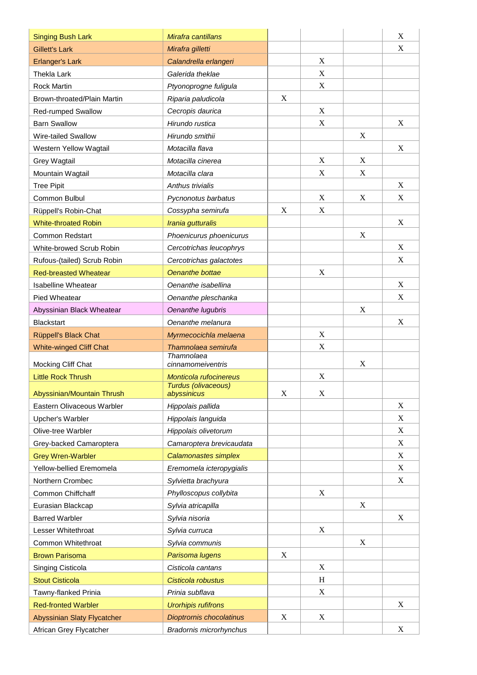| <b>Singing Bush Lark</b>       | Mirafra cantillans                            |                  |             |             | X                         |
|--------------------------------|-----------------------------------------------|------------------|-------------|-------------|---------------------------|
| <b>Gillett's Lark</b>          | Mirafra gilletti                              |                  |             |             | X                         |
| <b>Erlanger's Lark</b>         | Calandrella erlangeri                         |                  | X           |             |                           |
| Thekla Lark                    | Galerida theklae                              |                  | X           |             |                           |
| <b>Rock Martin</b>             | Ptyonoprogne fuligula                         |                  | $\mathbf X$ |             |                           |
| Brown-throated/Plain Martin    | Riparia paludicola                            | X                |             |             |                           |
| <b>Red-rumped Swallow</b>      | Cecropis daurica                              |                  | X           |             |                           |
| <b>Barn Swallow</b>            | Hirundo rustica                               |                  | X           |             | X                         |
| Wire-tailed Swallow            | Hirundo smithii                               |                  |             | X           |                           |
| Western Yellow Wagtail         | Motacilla flava                               |                  |             |             | X                         |
| Grey Wagtail                   | Motacilla cinerea                             |                  | X           | X           |                           |
| Mountain Wagtail               | Motacilla clara                               |                  | $\mathbf X$ | $\mathbf X$ |                           |
| <b>Tree Pipit</b>              | Anthus trivialis                              |                  |             |             | X                         |
| Common Bulbul                  | Pycnonotus barbatus                           |                  | X           | X           | X                         |
| Rüppell's Robin-Chat           | Cossypha semirufa                             | X                | $\mathbf X$ |             |                           |
| <b>White-throated Robin</b>    | Irania gutturalis                             |                  |             |             | X                         |
| <b>Common Redstart</b>         | Phoenicurus phoenicurus                       |                  |             | X           |                           |
| White-browed Scrub Robin       | Cercotrichas leucophrys                       |                  |             |             | X                         |
| Rufous-(tailed) Scrub Robin    | Cercotrichas galactotes                       |                  |             |             | X                         |
| <b>Red-breasted Wheatear</b>   | Oenanthe bottae                               |                  | X           |             |                           |
| <b>Isabelline Wheatear</b>     | Oenanthe isabellina                           |                  |             |             | $\boldsymbol{\mathrm{X}}$ |
| Pied Wheatear                  | Oenanthe pleschanka                           |                  |             |             | $\mathbf X$               |
| Abyssinian Black Wheatear      | Oenanthe lugubris                             |                  |             | X           |                           |
| <b>Blackstart</b>              | Oenanthe melanura                             |                  |             |             | $\boldsymbol{\mathrm{X}}$ |
| Rüppell's Black Chat           | Myrmecocichla melaena                         |                  | X           |             |                           |
| <b>White-winged Cliff Chat</b> | Thamnolaea semirufa                           |                  | X           |             |                           |
|                                | Thamnolaea                                    |                  |             |             |                           |
| Mocking Cliff Chat             | cinnamomeiventris                             |                  |             | X           |                           |
| <b>Little Rock Thrush</b>      | Monticola rufocinereus<br>Turdus (olivaceous) |                  | X           |             |                           |
| Abyssinian/Mountain Thrush     | abyssinicus                                   | $\boldsymbol{X}$ | X           |             |                           |
| Eastern Olivaceous Warbler     | Hippolais pallida                             |                  |             |             | X                         |
| Upcher's Warbler               | Hippolais languida                            |                  |             |             | $\boldsymbol{\mathrm{X}}$ |
| Olive-tree Warbler             | Hippolais olivetorum                          |                  |             |             | X                         |
| Grey-backed Camaroptera        | Camaroptera brevicaudata                      |                  |             |             | $\mathbf X$               |
| <b>Grey Wren-Warbler</b>       | <b>Calamonastes simplex</b>                   |                  |             |             | $\boldsymbol{\mathrm{X}}$ |
| Yellow-bellied Eremomela       | Eremomela icteropygialis                      |                  |             |             | X                         |
| Northern Crombec               | Sylvietta brachyura                           |                  |             |             | $\mathbf X$               |
| Common Chiffchaff              | Phylloscopus collybita                        |                  | X           |             |                           |
| Eurasian Blackcap              | Sylvia atricapilla                            |                  |             | X           |                           |
| <b>Barred Warbler</b>          | Sylvia nisoria                                |                  |             |             | X                         |
| Lesser Whitethroat             | Sylvia curruca                                |                  | X           |             |                           |
| Common Whitethroat             | Sylvia communis                               |                  |             | $\mathbf X$ |                           |
| <b>Brown Parisoma</b>          | Parisoma lugens                               | X                |             |             |                           |
| Singing Cisticola              | Cisticola cantans                             |                  | $\mathbf X$ |             |                           |
| <b>Stout Cisticola</b>         | Cisticola robustus                            |                  | H           |             |                           |
| Tawny-flanked Prinia           | Prinia subflava                               |                  | $\mathbf X$ |             |                           |
| <b>Red-fronted Warbler</b>     | <b>Urorhipis rufifrons</b>                    |                  |             |             | X                         |
| Abyssinian Slaty Flycatcher    | Dioptrornis chocolatinus                      | X                | X           |             |                           |
| African Grey Flycatcher        | <b>Bradornis microrhynchus</b>                |                  |             |             | X                         |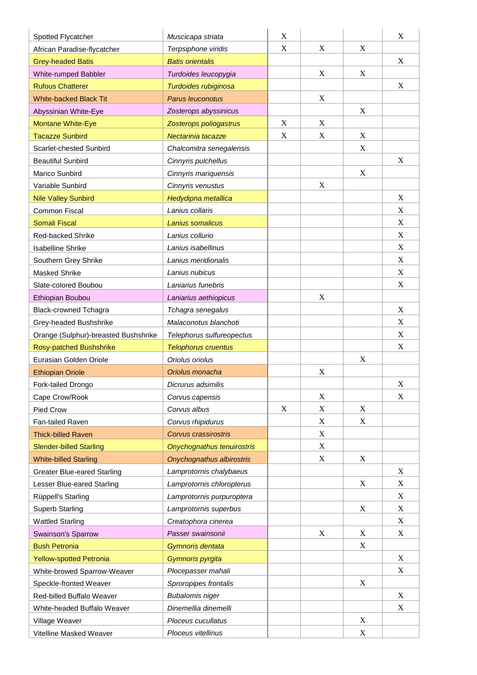| Spotted Flycatcher                   | Muscicapa striata          | X |             |             | X                         |
|--------------------------------------|----------------------------|---|-------------|-------------|---------------------------|
| African Paradise-flycatcher          | Terpsiphone viridis        | X | X           | X           |                           |
| <b>Grey-headed Batis</b>             | <b>Batis orientalis</b>    |   |             |             | X                         |
| White-rumped Babbler                 | Turdoides leucopygia       |   | X           | X           |                           |
| <b>Rufous Chatterer</b>              | Turdoides rubiginosa       |   |             |             | X                         |
| <b>White-backed Black Tit</b>        | Parus leuconotus           |   | X           |             |                           |
| Abyssinian White-Eye                 | Zosterops abyssinicus      |   |             | $\mathbf X$ |                           |
| <b>Montane White-Eye</b>             | Zosterops poliogastrus     | X | X           |             |                           |
| <b>Tacazze Sunbird</b>               | Nectarinia tacazze         | X | X           | X           |                           |
| Scarlet-chested Sunbird              | Chalcomitra senegalensis   |   |             | X           |                           |
| <b>Beautiful Sunbird</b>             | Cinnyris pulchellus        |   |             |             | X                         |
| Marico Sunbird                       | Cinnyris mariquensis       |   |             | $\mathbf X$ |                           |
| Variable Sunbird                     | Cinnyris venustus          |   | X           |             |                           |
| <b>Nile Valley Sunbird</b>           | Hedydipna metallica        |   |             |             | $\boldsymbol{\mathrm{X}}$ |
| Common Fiscal                        | Lanius collaris            |   |             |             | $\boldsymbol{\mathrm{X}}$ |
| <b>Somali Fiscal</b>                 | Lanius somalicus           |   |             |             | $\boldsymbol{\mathrm{X}}$ |
| <b>Red-backed Shrike</b>             | Lanius collurio            |   |             |             | $\mathbf X$               |
| <b>Isabelline Shrike</b>             | Lanius isabellinus         |   |             |             | X                         |
| Southern Grey Shrike                 | Lanius meridionalis        |   |             |             | $\boldsymbol{\mathrm{X}}$ |
| Masked Shrike                        | Lanius nubicus             |   |             |             | X                         |
| Slate-colored Boubou                 | Laniarius funebris         |   |             |             | $\boldsymbol{\mathrm{X}}$ |
| Ethiopian Boubou                     | Laniarius aethiopicus      |   | $\mathbf X$ |             |                           |
| <b>Black-crowned Tchagra</b>         | Tchagra senegalus          |   |             |             | $\boldsymbol{\mathrm{X}}$ |
| Grey-headed Bushshrike               | Malaconotus blanchoti      |   |             |             | $\boldsymbol{\mathrm{X}}$ |
| Orange (Sulphur)-breasted Bushshrike | Telephorus sulfureopectus  |   |             |             | X                         |
| <b>Rosy-patched Bushshrike</b>       | <b>Telophorus cruentus</b> |   |             |             | X                         |
| Eurasian Golden Oriole               | Oriolus oriolus            |   |             | X           |                           |
| <b>Ethiopian Oriole</b>              | Oriolus monacha            |   | X           |             |                           |
| Fork-tailed Drongo                   | Dicrurus adsimilis         |   |             |             | $\boldsymbol{\mathrm{X}}$ |
| Cape Crow/Rook                       | Corvus capensis            |   | X           |             | X                         |
| Pied Crow                            | Corvus albus               | X | $\mathbf X$ | $\mathbf X$ |                           |
| Fan-tailed Raven                     | Corvus rhipidurus          |   | X           | X           |                           |
| <b>Thick-billed Raven</b>            | Corvus crassirostris       |   | X           |             |                           |
| <b>Slender-billed Starling</b>       | Onychognathus tenuirostris |   | $\mathbf X$ |             |                           |
| <b>White-billed Starling</b>         | Onychognathus albirostris  |   | X           | X           |                           |
| <b>Greater Blue-eared Starling</b>   | Lamprotornis chalybaeus    |   |             |             | $\mathbf X$               |
| Lesser Blue-eared Starling           | Lamprotornis chloropterus  |   |             | X           | X                         |
| Rüppell's Starling                   | Lamprotornis purpuroptera  |   |             |             | $\boldsymbol{\mathrm{X}}$ |
| <b>Superb Starling</b>               | Lamprotornis superbus      |   |             | X           | $\mathbf X$               |
| <b>Wattled Starling</b>              | Creatophora cinerea        |   |             |             | X                         |
| Swainson's Sparrow                   | Passer swainsonii          |   | $\mathbf X$ | $\mathbf X$ | $\mathbf X$               |
| <b>Bush Petronia</b>                 | Gymnoris dentata           |   |             | X           |                           |
| <b>Yellow-spotted Petronia</b>       | Gymnoris pyrgita           |   |             |             | X                         |
| White-browed Sparrow-Weaver          | Plocepasser mahali         |   |             |             | X                         |
| Speckle-fronted Weaver               | Sproropipes frontalis      |   |             | X           |                           |
| Red-billed Buffalo Weaver            | <b>Bubalornis niger</b>    |   |             |             | $\boldsymbol{\mathrm{X}}$ |
| White-headed Buffalo Weaver          | Dinemellia dinemelli       |   |             |             | X                         |
| Village Weaver                       | Ploceus cucullatus         |   |             | $\mathbf X$ |                           |
| Vitelline Masked Weaver              | Ploceus vitellinus         |   |             | X           |                           |